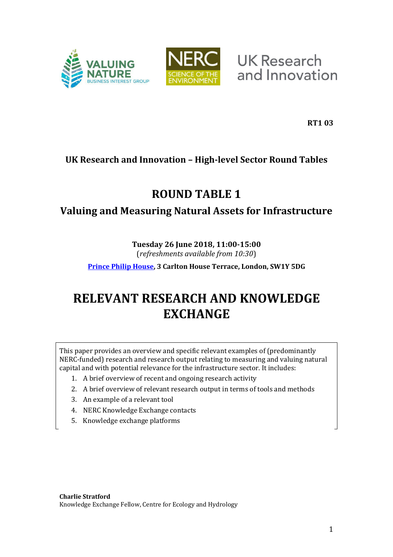



**UK Research** and Innovation

**RT1 03**

### **UK Research and Innovation – High-level Sector Round Tables**

## **ROUND TABLE 1**

## **Valuing and Measuring Natural Assets for Infrastructure**

## **Tuesday 26 June 2018, 11:00-15:00**

(*refreshments available from 10:30*)

**[Prince Philip House,](https://www.princephiliphouse.com/) 3 Carlton House Terrace, London, SW1Y 5DG** 

# **RELEVANT RESEARCH AND KNOWLEDGE EXCHANGE**

This paper provides an overview and specific relevant examples of (predominantly NERC-funded) research and research output relating to measuring and valuing natural capital and with potential relevance for the infrastructure sector. It includes:

- 1. A brief overview of recent and ongoing research activity
- 2. A brief overview of relevant research output in terms of tools and methods
- 3. An example of a relevant tool
- 4. NERC Knowledge Exchange contacts
- 5. Knowledge exchange platforms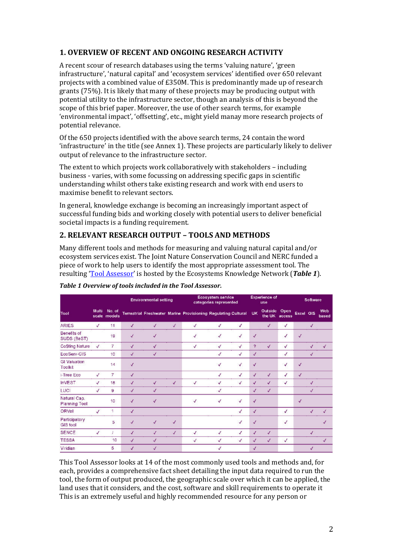#### **1. OVERVIEW OF RECENT AND ONGOING RESEARCH ACTIVITY**

A recent scour of research databases using the terms 'valuing nature', 'green infrastructure', 'natural capital' and 'ecosystem services' identified over 650 relevant projects with a combined value of £350M. This is predominantly made up of research grants (75%). It is likely that many of these projects may be producing output with potential utility to the infrastructure sector, though an analysis of this is beyond the scope of this brief paper. Moreover, the use of other search terms, for example 'environmental impact', 'offsetting', etc., might yield manay more research projects of potential relevance.

Of the 650 projects identified with the above search terms, 24 contain the word 'infrastructure' in the title (see Annex 1). These projects are particularly likely to deliver output of relevance to the infrastructure sector.

The extent to which projects work collaboratively with stakeholders – including business - varies, with some focussing on addressing specific gaps in scientific understanding whilst others take existing research and work with end users to maximise benefit to relevant sectors.

In general, knowledge exchange is becoming an increasingly important aspect of successful funding bids and working closely with potential users to deliver beneficial societal impacts is a funding requirement.

#### **2. RELEVANT RESEARCH OUTPUT – TOOLS AND METHODS**

Many different tools and methods for measuring and valuing natural capital and/or ecosystem services exist. The Joint Nature Conservation Council and NERC funded a piece of work to help users to identify the most appropriate assessment tool. The resulting *'[Tool Assessor](https://ecosystemsknowledge.net/resources/guidance-and-tools/tools/tool-assessor)'* is hosted by the Ecosystems Knowledge Network (*[Table 1](#page-1-0)*).

|                                      | Multi        | No. of<br>scale models | <b>Environmental setting</b> |                          |                          | Ecosystem service<br>categories represented                    |   |   | <b>Experience of</b><br>use |                        | Software     |                  |   |                          |
|--------------------------------------|--------------|------------------------|------------------------------|--------------------------|--------------------------|----------------------------------------------------------------|---|---|-----------------------------|------------------------|--------------|------------------|---|--------------------------|
| Tool                                 |              |                        |                              |                          |                          | Terrestrial Freshwater Marine Provisioning Regulating Cultural |   |   | <b>UK</b>                   | Outside Open<br>the UK | access       | <b>Excel GIS</b> |   | Web<br>based             |
| <b>ARIES</b>                         | √            | 11                     | √                            | J                        | 4                        | $\sqrt{2}$                                                     | √ | √ |                             | $\checkmark$           | √            |                  | √ |                          |
| Benefits of<br>SUDS (BeST)           |              | 19                     | J                            | J                        |                          | v                                                              | V | √ | √                           |                        | $\mathcal J$ | √                |   |                          |
| <b>CoSting Nature</b>                | √            | 7                      | V                            | $\checkmark$             |                          | V                                                              | √ | √ | ?                           | √                      | √            |                  | √ | √                        |
| EcoServ-GIS                          |              | 10                     | √                            | V                        |                          |                                                                | V | √ | √                           |                        | √            |                  | J |                          |
| <b>GI Valuation</b><br>Toolkit       |              | 14                     | √                            |                          |                          |                                                                | √ | √ | $\checkmark$                |                        | √            | √                |   |                          |
| i-Tree Eco                           | √            | 7                      | √                            |                          |                          |                                                                | V | J | ٧                           | $\checkmark$           | V            | √                |   |                          |
| <b>InVEST</b>                        | $\checkmark$ | 18                     | √                            | √                        | $\overline{\mathcal{A}}$ | V                                                              | √ | √ | $\checkmark$                | √                      | √            |                  | √ |                          |
| <b>LUCI</b>                          | V            | 9                      | $\sqrt{ }$                   | $\overline{\mathcal{L}}$ |                          |                                                                | V |   | √                           | $\checkmark$           |              |                  | ď |                          |
| Natural Cap.<br><b>Planning Tool</b> |              | 10                     | V                            | V                        |                          | √                                                              | √ | V | √                           |                        |              | $\sqrt{}$        |   |                          |
| ORVal                                | $\checkmark$ | 1                      | √                            |                          |                          |                                                                |   | √ | $\checkmark$                |                        | $\checkmark$ |                  |   |                          |
| Participatory<br><b>GIS tool</b>     |              | 5                      | J                            | $\checkmark$             | J                        |                                                                |   | J | √                           |                        | J            |                  |   |                          |
| <b>SENCE</b>                         | $\checkmark$ | Ï                      | J                            | ¥                        | J                        | V                                                              | ¥ | √ | $\sqrt{2}$                  | $\checkmark$           |              |                  | J |                          |
| <b>TESSA</b>                         |              | 10                     | $\mathcal{J}$                | J                        |                          | √                                                              | √ | √ | $\checkmark$                | √                      | V            |                  |   | $\overline{\mathcal{L}}$ |
| Viridian                             |              | 5                      | J                            | √                        |                          |                                                                | √ |   | √                           |                        |              |                  | J |                          |

<span id="page-1-0"></span>*Table 1 Overview of tools included in the Tool Assessor.* 

This Tool Assessor looks at 14 of the most commonly used tools and methods and, for each, provides a comprehensive fact sheet detailing the input data required to run the tool, the form of output produced, the geographic scale over which it can be applied, the land uses that it considers, and the cost, software and skill requirements to operate it This is an extremely useful and highly recommended resource for any person or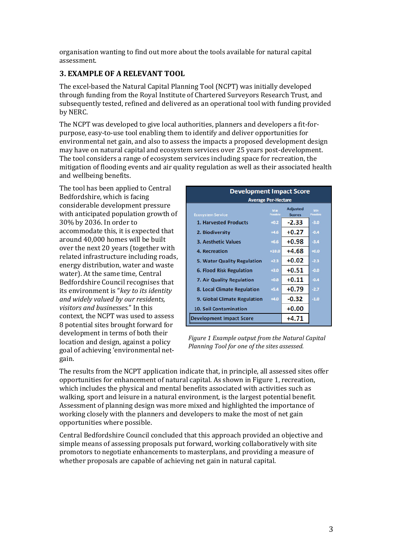organisation wanting to find out more about the tools available for natural capital assessment.

#### **3. EXAMPLE OF A RELEVANT TOOL**

The excel-based the Natural Capital Planning Tool (NCPT) was initially developed through funding from the Royal Institute of Chartered Surveyors Research Trust, and subsequently tested, refined and delivered as an operational tool with funding provided by NERC.

The NCPT was developed to give local authorities, planners and developers a fit-forpurpose, easy-to-use tool enabling them to identify and deliver opportunities for environmental net gain, and also to assess the impacts a proposed development design may have on natural capital and ecosystem services over 25 years post-development. The tool considers a range of ecosystem services including space for recreation, the mitigation of flooding events and air quality regulation as well as their associated health and wellbeing benefits.

The tool has been applied to Central Bedfordshire, which is facing considerable development pressure with anticipated population growth of 30% by 2036. In order to accommodate this, it is expected that around 40,000 homes will be built over the next 20 years (together with related infrastructure including roads, energy distribution, water and waste water). At the same time, Central Bedfordshire Council recognises that its environment is "key to its identity *and widely valued by our residents, visitors and businesses.*" In this context, the NCPT was used to assess 8 potential sites brought forward for development in terms of both their location and design, against a policy goal of achieving 'environmental netgain.

| <b>Development Impact Score</b><br><b>Average Per-Hectare</b> |                 |                                  |                 |
|---------------------------------------------------------------|-----------------|----------------------------------|-----------------|
| <b>Ecosystem Service</b>                                      | Max<br>Possible | <b>Adjusted</b><br><b>Scores</b> | Min<br>Possible |
| <b>1. Harvested Products</b>                                  | $+0.2$          | $-2.33$                          | $-3.0$          |
| 2. Biodiversity                                               | $+4.6$          | $+0.27$                          | $-0.4$          |
| <b>3. Aesthetic Values</b>                                    | $+6.6$          | $+0.98$                          | $-3.4$          |
| 4. Recreation                                                 | $+10.0$         | $+4.68$                          | $+0.0$          |
| 5. Water Quality Regulation                                   | $+2.3$          | $+0.02$                          | $-2.3$          |
| 6. Flood Risk Regulation                                      | $+3.0$          | $+0.51$                          | $-0.0$          |
| 7. Air Quality Regulation                                     | $+0.8$          | $+0.11$                          | $-0.4$          |
| 8. Local Climate Regulation                                   | $+5.4$          | $+0.79$                          | $-2.7$          |
| 9. Global Climate Regulation                                  | $+4.0$          | $-0.32$                          | $-1.0$          |
| <b>10. Soil Contamination</b>                                 |                 | $+0.00$                          |                 |
| <b>Development Impact Score</b>                               |                 | $+4.71$                          |                 |

*Figure 1 Example output from the Natural Capital Planning Tool for one of the sites assessed.* 

The results from the NCPT application indicate that, in principle, all assessed sites offer opportunities for enhancement of natural capital. As shown in Figure 1, recreation, which includes the physical and mental benefits associated with activities such as walking, sport and leisure in a natural environment, is the largest potential benefit. Assessment of planning design was more mixed and highlighted the importance of working closely with the planners and developers to make the most of net gain opportunities where possible.

Central Bedfordshire Council concluded that this approach provided an objective and simple means of assessing proposals put forward, working collaboratively with site promotors to negotiate enhancements to masterplans, and providing a measure of whether proposals are capable of achieving net gain in natural capital.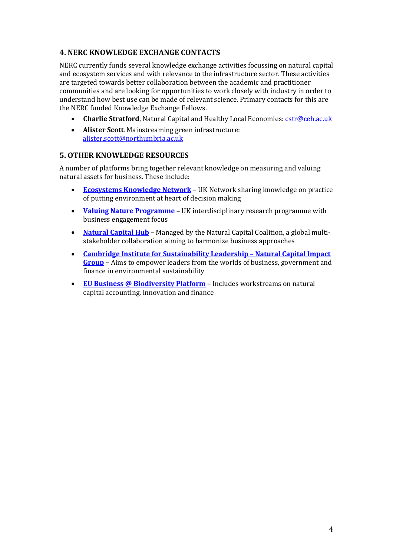#### **4. NERC KNOWLEDGE EXCHANGE CONTACTS**

NERC currently funds several knowledge exchange activities focussing on natural capital and ecosystem services and with relevance to the infrastructure sector. These activities are targeted towards better collaboration between the academic and practitioner communities and are looking for opportunities to work closely with industry in order to understand how best use can be made of relevant science. Primary contacts for this are the NERC funded Knowledge Exchange Fellows.

- **Charlie Stratford**, Natural Capital and Healthy Local Economies: **cstr@ceh.ac.uk**
- **Alister Scott**. Mainstreaming green infrastructure: [alister.scott@northumbria.ac.uk](mailto:alister.scott@northumbria.ac.uk)

#### **5. OTHER KNOWLEDGE RESOURCES**

A number of platforms bring together relevant knowledge on measuring and valuing natural assets for business. These include:

- **[Ecosystems Knowledge Network](https://ecosystemsknowledge.net/) –** UK Network sharing knowledge on practice of putting environment at heart of decision making
- **[Valuing Nature Programme](http://valuing-nature.net/) –** UK interdisciplinary research programme with business engagement focus
- **[Natural Capital Hub](https://naturalcapitalcoalition.org/hub/)** Managed by the Natural Capital Coalition, a global multistakeholder collaboration aiming to harmonize business approaches
- **[Cambridge Institute for Sustainability Leadership](https://www.cisl.cam.ac.uk/business-action/natural-capital/natural-capital-impact-group) – Natural Capital Impact [Group](https://www.cisl.cam.ac.uk/business-action/natural-capital/natural-capital-impact-group) –** Aims to empower leaders from the worlds of business, government and finance in environmental sustainability
- **[EU Business @ Biodiversity Platform](http://ec.europa.eu/environment/biodiversity/business/index_en.htm) –** Includes workstreams on natural capital accounting, innovation and finance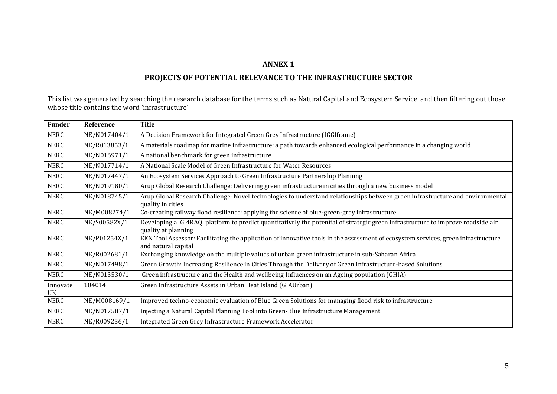#### **ANNEX 1**

#### **PROJECTS OF POTENTIAL RELEVANCE TO THE INFRASTRUCTURE SECTOR**

This list was generated by searching the research database for the terms such as Natural Capital and Ecosystem Service, and then filtering out those whose title contains the word 'infrastructure'.

| <b>Funder</b> | <b>Reference</b> | <b>Title</b>                                                                                                                                             |
|---------------|------------------|----------------------------------------------------------------------------------------------------------------------------------------------------------|
| NERC          | NE/N017404/1     | A Decision Framework for Integrated Green Grey Infrastructure (IGGIframe)                                                                                |
| <b>NERC</b>   | NE/R013853/1     | A materials roadmap for marine infrastructure: a path towards enhanced ecological performance in a changing world                                        |
| <b>NERC</b>   | NE/N016971/1     | A national benchmark for green infrastructure                                                                                                            |
| <b>NERC</b>   | NE/N017714/1     | A National Scale Model of Green Infrastructure for Water Resources                                                                                       |
| <b>NERC</b>   | NE/N017447/1     | An Ecosystem Services Approach to Green Infrastructure Partnership Planning                                                                              |
| <b>NERC</b>   | NE/N019180/1     | Arup Global Research Challenge: Delivering green infrastructure in cities through a new business model                                                   |
| <b>NERC</b>   | NE/N018745/1     | Arup Global Research Challenge: Novel technologies to understand relationships between green infrastructure and environmental<br>quality in cities       |
| NERC          | NE/M008274/1     | Co-creating railway flood resilience: applying the science of blue-green-grey infrastructure                                                             |
| <b>NERC</b>   | NE/S00582X/1     | Developing a 'GI4RAQ' platform to predict quantitatively the potential of strategic green infrastructure to improve roadside air<br>quality at planning  |
| <b>NERC</b>   | NE/P01254X/1     | EKN Tool Assessor: Facilitating the application of innovative tools in the assessment of ecosystem services, green infrastructure<br>and natural capital |
| NERC          | NE/R002681/1     | Exchanging knowledge on the multiple values of urban green infrastructure in sub-Saharan Africa                                                          |
| <b>NERC</b>   | NE/N017498/1     | Green Growth: Increasing Resilience in Cities Through the Delivery of Green Infrastructure-based Solutions                                               |
| <b>NERC</b>   | NE/N013530/1     | 'Green infrastructure and the Health and wellbeing Influences on an Ageing population (GHIA)                                                             |
| Innovate      | 104014           | Green Infrastructure Assets in Urban Heat Island (GIAUrban)                                                                                              |
| UK            |                  |                                                                                                                                                          |
| <b>NERC</b>   | NE/M008169/1     | Improved techno-economic evaluation of Blue Green Solutions for managing flood risk to infrastructure                                                    |
| <b>NERC</b>   | NE/N017587/1     | Injecting a Natural Capital Planning Tool into Green-Blue Infrastructure Management                                                                      |
| <b>NERC</b>   | NE/R009236/1     | Integrated Green Grey Infrastructure Framework Accelerator                                                                                               |